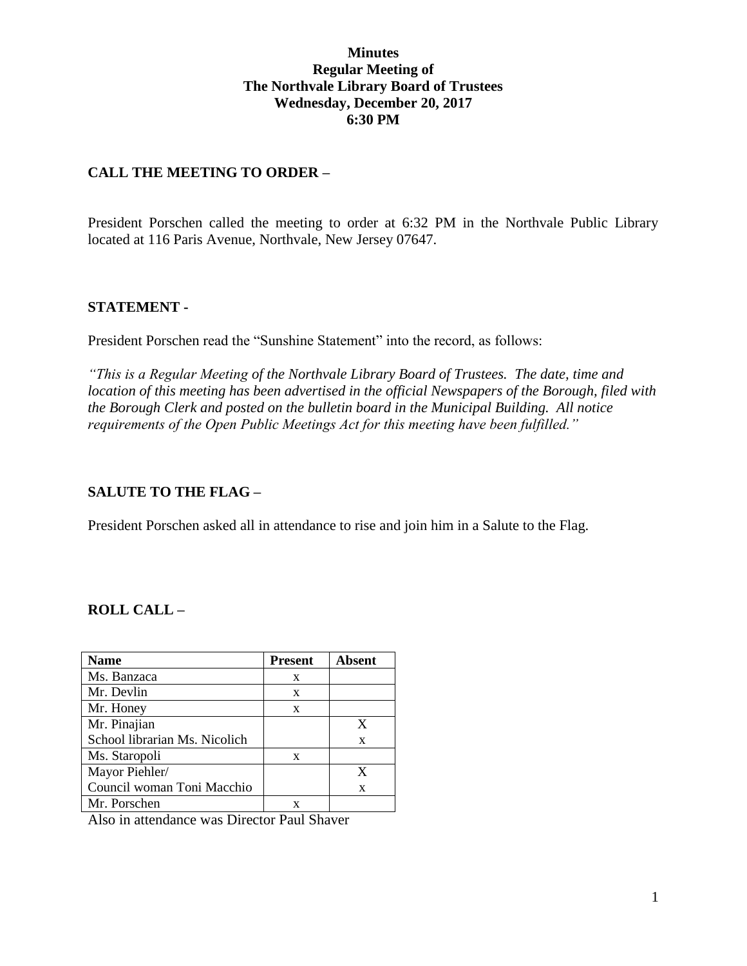#### **Minutes Regular Meeting of The Northvale Library Board of Trustees Wednesday, December 20, 2017 6:30 PM**

#### **CALL THE MEETING TO ORDER –**

President Porschen called the meeting to order at 6:32 PM in the Northvale Public Library located at 116 Paris Avenue, Northvale, New Jersey 07647.

#### **STATEMENT -**

President Porschen read the "Sunshine Statement" into the record, as follows:

*"This is a Regular Meeting of the Northvale Library Board of Trustees. The date, time and location of this meeting has been advertised in the official Newspapers of the Borough, filed with the Borough Clerk and posted on the bulletin board in the Municipal Building. All notice requirements of the Open Public Meetings Act for this meeting have been fulfilled."* 

#### **SALUTE TO THE FLAG –**

President Porschen asked all in attendance to rise and join him in a Salute to the Flag.

#### **ROLL CALL –**

| Name                          | <b>Present</b> | <b>Absent</b> |
|-------------------------------|----------------|---------------|
| Ms. Banzaca                   | X              |               |
| Mr. Devlin                    | X              |               |
| Mr. Honey                     | X              |               |
| Mr. Pinajian                  |                | X             |
| School librarian Ms. Nicolich |                | X             |
| Ms. Staropoli                 | X              |               |
| Mayor Piehler/                |                | X             |
| Council woman Toni Macchio    |                | X             |
| Mr. Porschen                  |                |               |

Also in attendance was Director Paul Shaver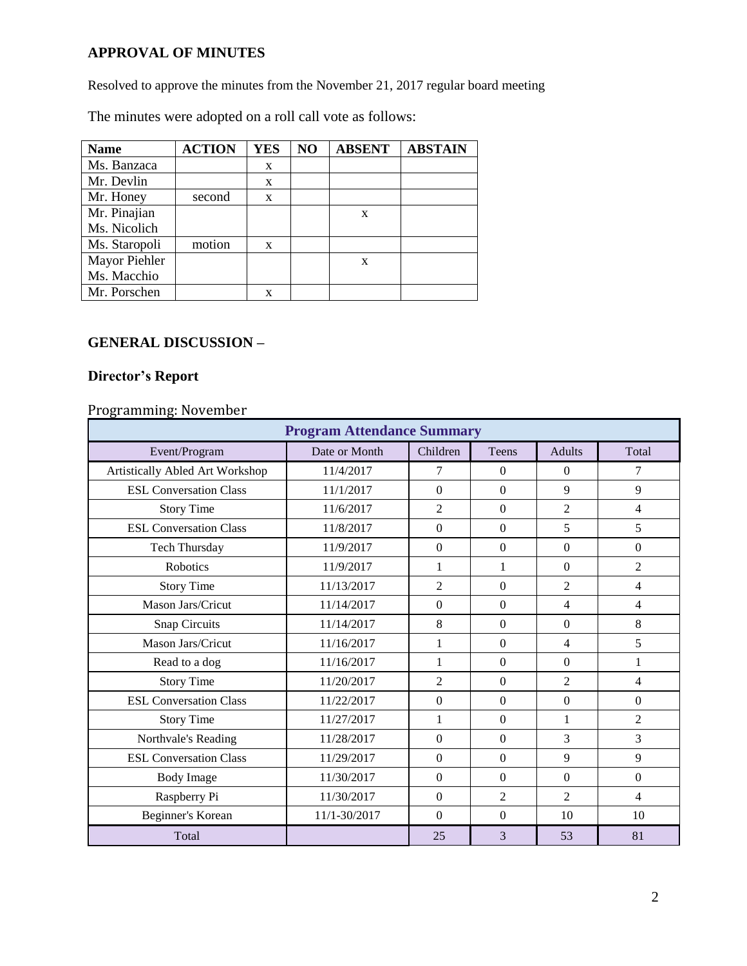# **APPROVAL OF MINUTES**

Resolved to approve the minutes from the November 21, 2017 regular board meeting

The minutes were adopted on a roll call vote as follows:

| <b>Name</b>   | <b>ACTION</b> | <b>YES</b> | NO | <b>ABSENT</b> | <b>ABSTAIN</b> |
|---------------|---------------|------------|----|---------------|----------------|
| Ms. Banzaca   |               | X          |    |               |                |
| Mr. Devlin    |               | X          |    |               |                |
| Mr. Honey     | second        | X          |    |               |                |
| Mr. Pinajian  |               |            |    | X             |                |
| Ms. Nicolich  |               |            |    |               |                |
| Ms. Staropoli | motion        | X          |    |               |                |
| Mayor Piehler |               |            |    | X             |                |
| Ms. Macchio   |               |            |    |               |                |
| Mr. Porschen  |               | X          |    |               |                |

## **GENERAL DISCUSSION –**

## **Director's Report**

# Programming: November

| <b>Program Attendance Summary</b> |               |                |                  |                          |                |  |  |
|-----------------------------------|---------------|----------------|------------------|--------------------------|----------------|--|--|
| Event/Program                     | Date or Month | Children       | <b>Teens</b>     | <b>Adults</b>            | Total          |  |  |
| Artistically Abled Art Workshop   | 11/4/2017     | 7              | $\Omega$         | $\Omega$                 | 7              |  |  |
| <b>ESL Conversation Class</b>     | 11/1/2017     | $\overline{0}$ | $\mathbf{0}$     | 9                        | 9              |  |  |
| <b>Story Time</b>                 | 11/6/2017     | $\overline{2}$ | $\mathbf{0}$     | $\overline{2}$           | 4              |  |  |
| <b>ESL Conversation Class</b>     | 11/8/2017     | $\Omega$       | $\overline{0}$   | 5                        | 5              |  |  |
| Tech Thursday                     | 11/9/2017     | $\overline{0}$ | $\overline{0}$   | $\overline{0}$           | $\Omega$       |  |  |
| Robotics                          | 11/9/2017     | $\mathbf{1}$   | 1                | $\Omega$                 | $\overline{c}$ |  |  |
| <b>Story Time</b>                 | 11/13/2017    | $\overline{c}$ | $\Omega$         | $\mathfrak{D}$           | $\overline{4}$ |  |  |
| Mason Jars/Cricut                 | 11/14/2017    | $\overline{0}$ | $\overline{0}$   | $\overline{\mathcal{A}}$ | 4              |  |  |
| <b>Snap Circuits</b>              | 11/14/2017    | 8              | $\mathbf{0}$     | $\Omega$                 | 8              |  |  |
| Mason Jars/Cricut                 | 11/16/2017    | 1              | $\overline{0}$   | 4                        | 5              |  |  |
| Read to a dog                     | 11/16/2017    | 1              | $\overline{0}$   | $\Omega$                 | 1              |  |  |
| <b>Story Time</b>                 | 11/20/2017    | $\overline{2}$ | $\boldsymbol{0}$ | $\overline{2}$           | 4              |  |  |
| <b>ESL Conversation Class</b>     | 11/22/2017    | $\Omega$       | $\Omega$         | $\theta$                 | $\theta$       |  |  |
| <b>Story Time</b>                 | 11/27/2017    | 1              | $\Omega$         | 1                        | $\overline{2}$ |  |  |
| Northvale's Reading               | 11/28/2017    | $\overline{0}$ | $\mathbf{0}$     | 3                        | 3              |  |  |
| <b>ESL Conversation Class</b>     | 11/29/2017    | $\overline{0}$ | $\overline{0}$   | 9                        | 9              |  |  |
| <b>Body Image</b>                 | 11/30/2017    | $\overline{0}$ | $\overline{0}$   | $\overline{0}$           | $\Omega$       |  |  |
| Raspberry Pi                      | 11/30/2017    | $\overline{0}$ | $\overline{2}$   | $\overline{2}$           | $\overline{4}$ |  |  |
| Beginner's Korean                 | 11/1-30/2017  | $\Omega$       | $\Omega$         | 10                       | 10             |  |  |
| Total                             |               | 25             | 3                | 53                       | 81             |  |  |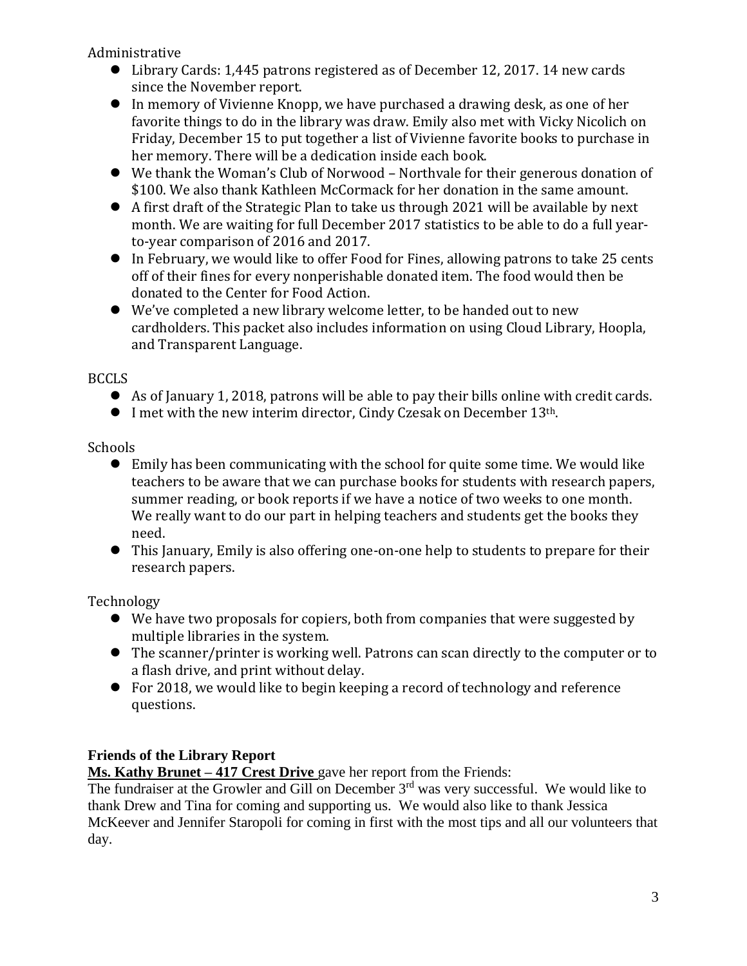Administrative

- Library Cards: 1,445 patrons registered as of December 12, 2017. 14 new cards since the November report.
- In memory of Vivienne Knopp, we have purchased a drawing desk, as one of her favorite things to do in the library was draw. Emily also met with Vicky Nicolich on Friday, December 15 to put together a list of Vivienne favorite books to purchase in her memory. There will be a dedication inside each book.
- We thank the Woman's Club of Norwood Northvale for their generous donation of \$100. We also thank Kathleen McCormack for her donation in the same amount.
- A first draft of the Strategic Plan to take us through 2021 will be available by next month. We are waiting for full December 2017 statistics to be able to do a full yearto-year comparison of 2016 and 2017.
- In February, we would like to offer Food for Fines, allowing patrons to take 25 cents off of their fines for every nonperishable donated item. The food would then be donated to the Center for Food Action.
- We've completed a new library welcome letter, to be handed out to new cardholders. This packet also includes information on using Cloud Library, Hoopla, and Transparent Language.

BCCLS

- As of January 1, 2018, patrons will be able to pay their bills online with credit cards.
- I met with the new interim director, Cindy Czesak on December 13<sup>th</sup>.

Schools

- Emily has been communicating with the school for quite some time. We would like teachers to be aware that we can purchase books for students with research papers, summer reading, or book reports if we have a notice of two weeks to one month. We really want to do our part in helping teachers and students get the books they need.
- This January, Emily is also offering one-on-one help to students to prepare for their research papers.

Technology

- We have two proposals for copiers, both from companies that were suggested by multiple libraries in the system.
- The scanner/printer is working well. Patrons can scan directly to the computer or to a flash drive, and print without delay.
- For 2018, we would like to begin keeping a record of technology and reference questions.

# **Friends of the Library Report**

**Ms. Kathy Brunet – 417 Crest Drive** gave her report from the Friends:

The fundraiser at the Growler and Gill on December 3<sup>rd</sup> was very successful. We would like to thank Drew and Tina for coming and supporting us. We would also like to thank Jessica McKeever and Jennifer Staropoli for coming in first with the most tips and all our volunteers that day.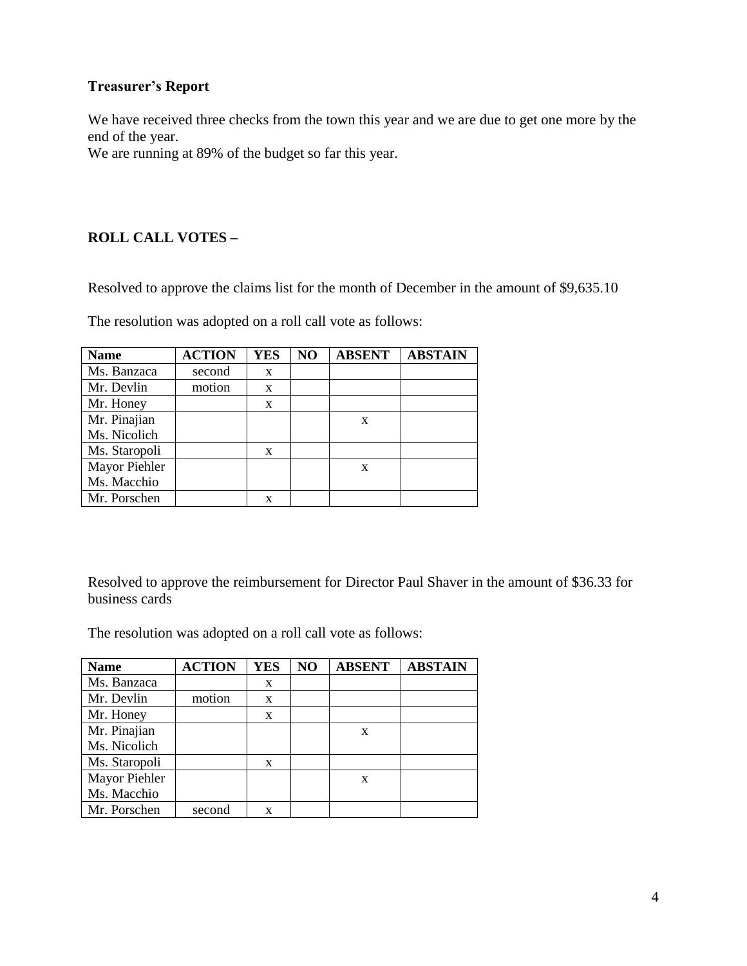### **Treasurer's Report**

We have received three checks from the town this year and we are due to get one more by the end of the year.

We are running at 89% of the budget so far this year.

## **ROLL CALL VOTES –**

Resolved to approve the claims list for the month of December in the amount of \$9,635.10

The resolution was adopted on a roll call vote as follows:

| <b>Name</b>   | <b>ACTION</b> | <b>YES</b> | NO | <b>ABSENT</b> | <b>ABSTAIN</b> |
|---------------|---------------|------------|----|---------------|----------------|
| Ms. Banzaca   | second        | X          |    |               |                |
| Mr. Devlin    | motion        | X          |    |               |                |
| Mr. Honey     |               | X          |    |               |                |
| Mr. Pinajian  |               |            |    | X             |                |
| Ms. Nicolich  |               |            |    |               |                |
| Ms. Staropoli |               | X          |    |               |                |
| Mayor Piehler |               |            |    | X             |                |
| Ms. Macchio   |               |            |    |               |                |
| Mr. Porschen  |               | x          |    |               |                |

Resolved to approve the reimbursement for Director Paul Shaver in the amount of \$36.33 for business cards

The resolution was adopted on a roll call vote as follows:

| <b>Name</b>   | <b>ACTION</b> | <b>YES</b> | NO | <b>ABSENT</b> | <b>ABSTAIN</b> |
|---------------|---------------|------------|----|---------------|----------------|
| Ms. Banzaca   |               | X          |    |               |                |
| Mr. Devlin    | motion        | X          |    |               |                |
| Mr. Honey     |               | X          |    |               |                |
| Mr. Pinajian  |               |            |    | X             |                |
| Ms. Nicolich  |               |            |    |               |                |
| Ms. Staropoli |               | X          |    |               |                |
| Mayor Piehler |               |            |    | X             |                |
| Ms. Macchio   |               |            |    |               |                |
| Mr. Porschen  | second        | X          |    |               |                |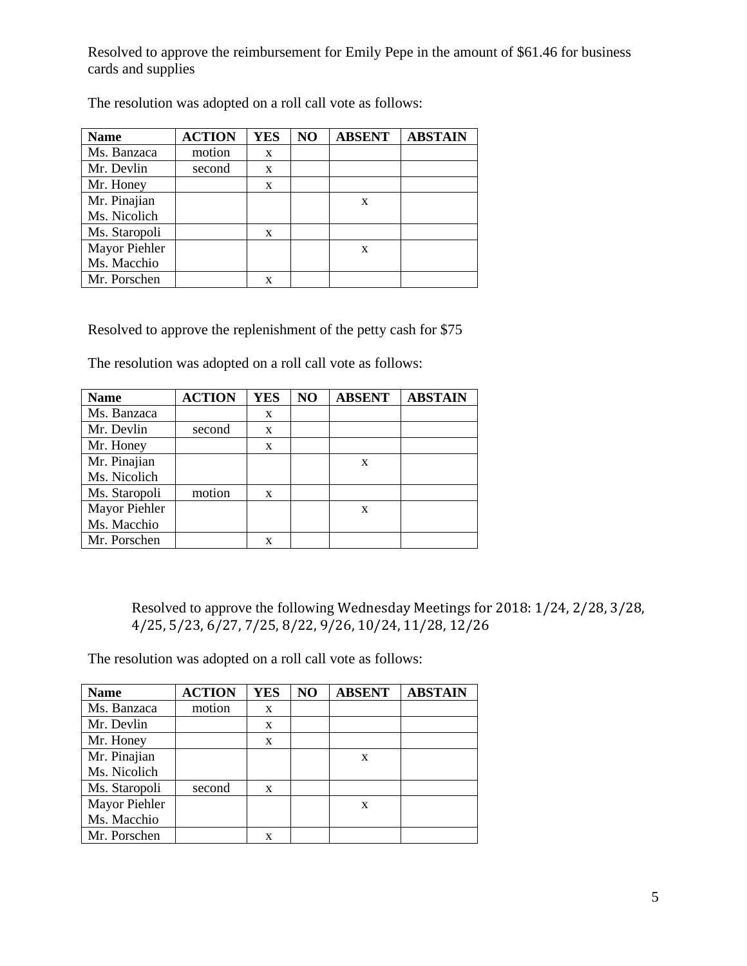Resolved to approve the reimbursement for Emily Pepe in the amount of \$61.46 for business cards and supplies

| <b>Name</b>   | <b>ACTION</b> | <b>YES</b> | NO | <b>ABSENT</b> | <b>ABSTAIN</b> |
|---------------|---------------|------------|----|---------------|----------------|
| Ms. Banzaca   | motion        | X          |    |               |                |
| Mr. Devlin    | second        | X          |    |               |                |
| Mr. Honey     |               | X          |    |               |                |
| Mr. Pinajian  |               |            |    | X             |                |
| Ms. Nicolich  |               |            |    |               |                |
| Ms. Staropoli |               | X          |    |               |                |
| Mayor Piehler |               |            |    | X             |                |
| Ms. Macchio   |               |            |    |               |                |
| Mr. Porschen  |               | X          |    |               |                |

The resolution was adopted on a roll call vote as follows:

Resolved to approve the replenishment of the petty cash for \$75

The resolution was adopted on a roll call vote as follows:

| <b>Name</b>   | <b>ACTION</b> | <b>YES</b> | NO | <b>ABSENT</b> | <b>ABSTAIN</b> |
|---------------|---------------|------------|----|---------------|----------------|
| Ms. Banzaca   |               | X          |    |               |                |
| Mr. Devlin    | second        | X          |    |               |                |
| Mr. Honey     |               | X          |    |               |                |
| Mr. Pinajian  |               |            |    | X             |                |
| Ms. Nicolich  |               |            |    |               |                |
| Ms. Staropoli | motion        | X          |    |               |                |
| Mayor Piehler |               |            |    | X             |                |
| Ms. Macchio   |               |            |    |               |                |
| Mr. Porschen  |               | X          |    |               |                |

Resolved to approve the following Wednesday Meetings for 2018: 1/24, 2/28, 3/28, 4/25, 5/23, 6/27, 7/25, 8/22, 9/26, 10/24, 11/28, 12/26

The resolution was adopted on a roll call vote as follows:

| <b>Name</b>   | <b>ACTION</b> | <b>YES</b> | NO | <b>ABSENT</b> | <b>ABSTAIN</b> |
|---------------|---------------|------------|----|---------------|----------------|
| Ms. Banzaca   | motion        | X          |    |               |                |
| Mr. Devlin    |               | X          |    |               |                |
| Mr. Honey     |               | X          |    |               |                |
| Mr. Pinajian  |               |            |    | X             |                |
| Ms. Nicolich  |               |            |    |               |                |
| Ms. Staropoli | second        | X          |    |               |                |
| Mayor Piehler |               |            |    | X             |                |
| Ms. Macchio   |               |            |    |               |                |
| Mr. Porschen  |               | X          |    |               |                |